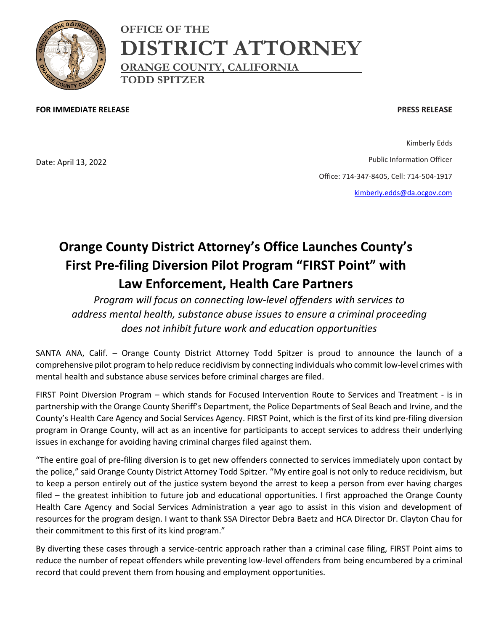

**OFFICE OF THE DISTRICT ATTORNEY ORANGE COUNTY, CALIFORNIA TODD SPITZER**

**FOR IMMEDIATE RELEASE**

## **PRESS RELEASE**

Date: April 13, 2022

Kimberly Edds Public Information Officer Office: 714-347-8405, Cell: 714-504-1917 [kimberly.edds@da.ocgov.com](mailto:kimberly.edds@da.ocgov.com)

## **Orange County District Attorney's Office Launches County's First Pre-filing Diversion Pilot Program "FIRST Point" with Law Enforcement, Health Care Partners**

*Program will focus on connecting low-level offenders with services to address mental health, substance abuse issues to ensure a criminal proceeding does not inhibit future work and education opportunities* 

SANTA ANA, Calif. – Orange County District Attorney Todd Spitzer is proud to announce the launch of a comprehensive pilot program to help reduce recidivism by connecting individuals who commit low-level crimes with mental health and substance abuse services before criminal charges are filed.

FIRST Point Diversion Program – which stands for Focused Intervention Route to Services and Treatment - is in partnership with the Orange County Sheriff's Department, the Police Departments of Seal Beach and Irvine, and the County's Health Care Agency and Social Services Agency. FIRST Point, which is the first of its kind pre-filing diversion program in Orange County, will act as an incentive for participants to accept services to address their underlying issues in exchange for avoiding having criminal charges filed against them.

"The entire goal of pre-filing diversion is to get new offenders connected to services immediately upon contact by the police," said Orange County District Attorney Todd Spitzer. "My entire goal is not only to reduce recidivism, but to keep a person entirely out of the justice system beyond the arrest to keep a person from ever having charges filed – the greatest inhibition to future job and educational opportunities. I first approached the Orange County Health Care Agency and Social Services Administration a year ago to assist in this vision and development of resources for the program design. I want to thank SSA Director Debra Baetz and HCA Director Dr. Clayton Chau for their commitment to this first of its kind program."

By diverting these cases through a service-centric approach rather than a criminal case filing, FIRST Point aims to reduce the number of repeat offenders while preventing low-level offenders from being encumbered by a criminal record that could prevent them from housing and employment opportunities.